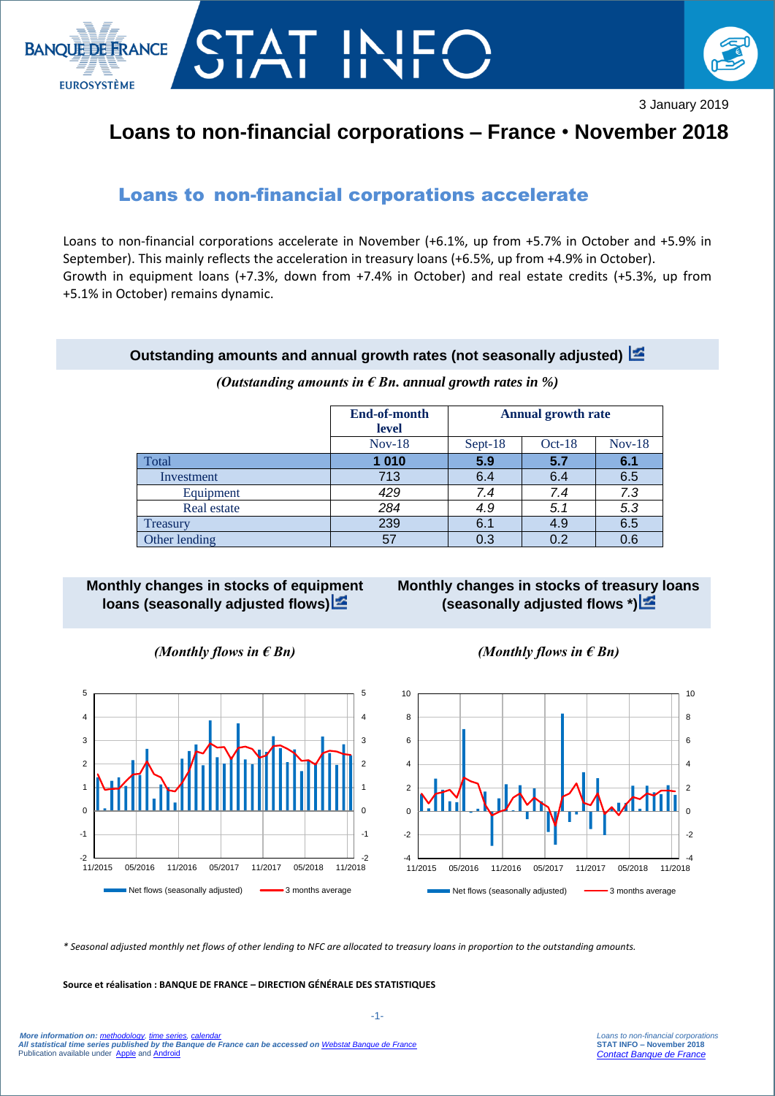



# **Loans to non-financial corporations – France** • **November 2018**

# Loans to non-financial corporations accelerate

Loans to non-financial corporations accelerate in November (+6.1%, up from +5.7% in October and +5.9% in September). This mainly reflects the acceleration in treasury loans (+6.5%, up from +4.9% in October). Growth in equipment loans (+7.3%, down from +7.4% in October) and real estate credits (+5.3%, up from +5.1% in October) remains dynamic.

#### **Outstanding amounts and annual growth rates (not seasonally adjusted)**

#### **End-of-month level Annual growth rate** Nov-18 Sept-18 Oct-18 Nov-18 Total **1 010 5.9 5.7 6.1** Investment 713 6.4 6.5 Equipment *429 7.4 7.4 7.3* Real estate *284 4.9 5.1 5.3* Treasury 239 | 6.1 | 4.9 | 6.5 Other lending  $\begin{array}{|c|c|c|c|c|c|c|c|} \hline \text{Other lending} & \text{57} & \text{0.3} & \text{0.2} & \text{0.6} \ \hline \end{array}$

## *(Outstanding amounts in € Bn. annual growth rates in %)*

## **Monthly changes in stocks of equipment loans (seasonally adjusted flows)**

## **Monthly changes in stocks of treasury loans (seasonally adjusted flows \*)**



#### *(Monthly flows in*  $\epsilon$  *Bn) (Monthly flows in*  $\epsilon$  *Bn)*





*\* Seasonal adjusted monthly net flows of other lending to NFC are allocated to treasury loans in proportion to the outstanding amounts.*

**Source et réalisation : BANQUE DE FRANCE – DIRECTION GÉNÉRALE DES STATISTIQUES**